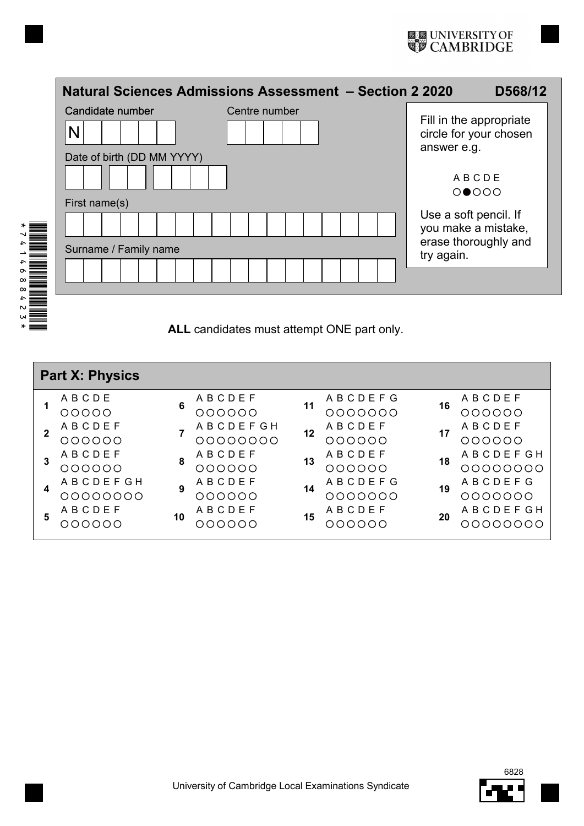|  | Natural Sciences Admissions Assessment - Section 2 2020 |                                           |  |                                              | D568/12 |  |
|--|---------------------------------------------------------|-------------------------------------------|--|----------------------------------------------|---------|--|
|  | Candidate number<br>N                                   | Centre number                             |  | Fill in the appropriate                      |         |  |
|  | Date of birth (DD MM YYYY)                              | circle for your chosen<br>answer e.g.     |  |                                              |         |  |
|  |                                                         | ABCDE<br>$O \bullet$ OOO                  |  |                                              |         |  |
|  | First name(s)                                           |                                           |  |                                              |         |  |
|  |                                                         |                                           |  | Use a soft pencil. If<br>you make a mistake, |         |  |
|  | Surname / Family name                                   | erase thoroughly and<br>try again.        |  |                                              |         |  |
|  |                                                         |                                           |  |                                              |         |  |
|  |                                                         | ALL candidates must attempt ONF part only |  |                                              |         |  |

**ALL** candidates must attempt ONE part only.

| <b>Part X: Physics</b> |                    |    |                           |    |                              |    |                     |
|------------------------|--------------------|----|---------------------------|----|------------------------------|----|---------------------|
|                        | ABCDE<br>00000     | 6  | ABCDEF<br>000000          | 11 | ABCDEFG<br>,000000           | 16 | ABCDEF<br>000000    |
| $\mathbf{2}$           | ABCDEF             |    | <b>ABCDEFGH</b>           | 12 | <b>ABCDEF</b>                | 17 | ABCDEF              |
| 3                      | 000000<br>ABCDEF   | 8  | 00000000<br><b>ABCDEF</b> | 13 | 000000<br>ABCDEF             | 18 | 000000<br>ABCDEFGH  |
|                        | 000000<br>ABCDEFGH |    | OOOOOO<br><b>ABCDEF</b>   |    | 000000<br>A B C D E F G      |    | 00000000<br>ABCDEFG |
| 4                      | 00000000<br>ABCDEF | 9  | 000000<br><b>ABCDEF</b>   | 14 | 000000<br>∩<br><b>ABCDEF</b> | 19 | 0000000<br>ABCDEFGH |
| 5                      | NNNNNN             | 10 | OOOOO                     | 15 | OOO<br>$\bigcirc$            | 20 | . NOOOOO            |
|                        |                    |    |                           |    |                              |    |                     |